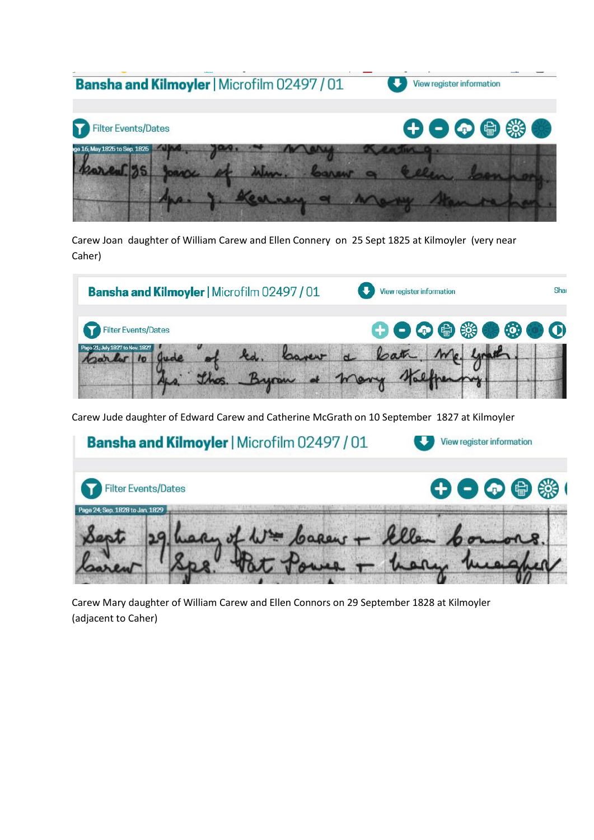

Carew Joan daughter of William Carew and Ellen Connery on 25 Sept 1825 at Kilmoyler (very near Caher)



Carew Jude daughter of Edward Carew and Catherine McGrath on 10 September 1827 at Kilmoyler



Carew Mary daughter of William Carew and Ellen Connors on 29 September 1828 at Kilmoyler (adjacent to Caher)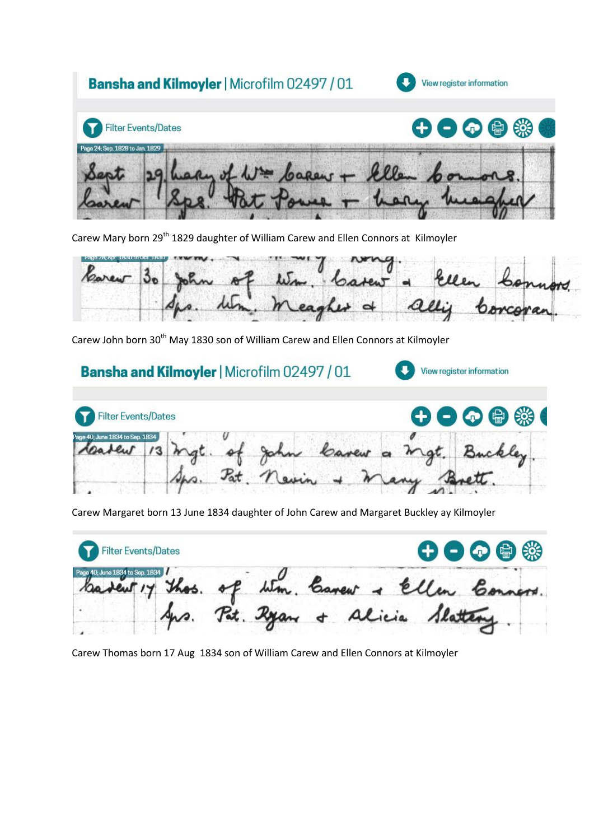

Carew Mary born 29<sup>th</sup> 1829 daughter of William Carew and Ellen Connors at Kilmoyler



View register information

Carew John born 30<sup>th</sup> May 1830 son of William Carew and Ellen Connors at Kilmoyler

## **Bansha and Kilmoyler | Microfilm 02497 / 01**



Carew Margaret born 13 June 1834 daughter of John Carew and Margaret Buckley ay Kilmoyler

| Filter Events/Dates                                                                |  |  |  | $\bigoplus$ $\bigoplus$ $\bigoplus$ $\bigoplus$ |  |
|------------------------------------------------------------------------------------|--|--|--|-------------------------------------------------|--|
|                                                                                    |  |  |  |                                                 |  |
| badeut 17 thos. of Wm. Carew + Ellen Conners.<br>Aps. Pot. Ryan + Alicia Slattery. |  |  |  |                                                 |  |

Carew Thomas born 17 Aug 1834 son of William Carew and Ellen Connors at Kilmoyler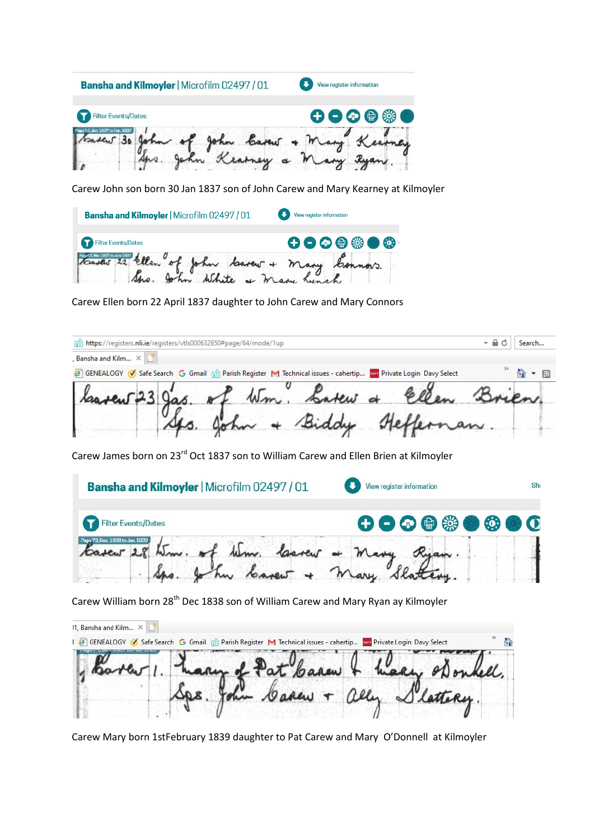

Carew John son born 30 Jan 1837 son of John Carew and Mary Kearney at Kilmoyler

| <b>Bansha and Kilmoyler   Microfilm 02497 / 01</b> | View register information                                                       |  |  |
|----------------------------------------------------|---------------------------------------------------------------------------------|--|--|
| Filter Events/Dates                                | $\mathbf \Theta \bullet \mathbf \Theta \circledast \bullet \mathbf \Theta^\top$ |  |  |
| toavew 22 ellen of John lavew + many Connors.      |                                                                                 |  |  |

Carew Ellen born 22 April 1837 daughter to John Carew and Mary Connors

| nll https://registers.nli.ie/registers/vtls000632650#page/64/mode/1up                                           | Search                          |
|-----------------------------------------------------------------------------------------------------------------|---------------------------------|
| , Bansha and Kilm $\times$ $\mathbb{S}^*$                                                                       |                                 |
| G GENEALOGY O Safe Search G Gmail ni Parish Register M Technical issues - cahertip aw Private Login Davy Select | $\rightarrow$ 0 $\rightarrow$ 0 |
| lasten 23 gas. of Wm. Latew & Ellen                                                                             |                                 |
| John + Biddy Heffernan.                                                                                         |                                 |

Carew James born on 23rd Oct 1837 son to William Carew and Ellen Brien at Kilmoyler

| <b>Bansha and Kilmoyler   Microfilm 02497 / 01</b>   | View register information | Shr |
|------------------------------------------------------|---------------------------|-----|
| <b>Filter Events/Dates</b>                           | 000000000                 |     |
| 73 Dec. 1838 to Jan. 1839<br>tom. of time. laster of |                           |     |

Carew William born 28<sup>th</sup> Dec 1838 son of William Carew and Mary Ryan ay Kilmoyler

| 11, Bansha and Kilm $\times$                                                                                      |                            |  |  |
|-------------------------------------------------------------------------------------------------------------------|----------------------------|--|--|
| I B GENEALOGY V Safe Search G Gmail n Parish Register M Technical issues - cahertip www Private Login Davy Select |                            |  |  |
|                                                                                                                   | harry of Pat Carew & harry |  |  |
|                                                                                                                   |                            |  |  |
|                                                                                                                   |                            |  |  |

Carew Mary born 1stFebruary 1839 daughter to Pat Carew and Mary O'Donnell at Kilmoyler